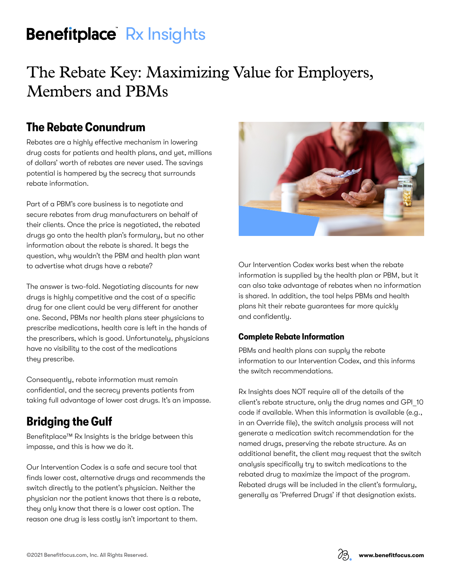# **Benefitplace** Rx Insights

# The Rebate Key: Maximizing Value for Employers, Members and PBMs

### **The Rebate Conundrum**

Rebates are a highly effective mechanism in lowering drug costs for patients and health plans, and yet, millions of dollars' worth of rebates are never used. The savings potential is hampered by the secrecy that surrounds rebate information.

Part of a PBM's core business is to negotiate and secure rebates from drug manufacturers on behalf of their clients. Once the price is negotiated, the rebated drugs go onto the health plan's formulary, but no other information about the rebate is shared. It begs the question, why wouldn't the PBM and health plan want to advertise what drugs have a rebate?

The answer is two-fold. Negotiating discounts for new drugs is highly competitive and the cost of a specific drug for one client could be very different for another one. Second, PBMs nor health plans steer physicians to prescribe medications, health care is left in the hands of the prescribers, which is good. Unfortunately, physicians have no visibility to the cost of the medications they prescribe.

Consequently, rebate information must remain confidential, and the secrecy prevents patients from taking full advantage of lower cost drugs. It's an impasse.

## **Bridging the Gulf**

Benefitplace™ Rx Insights is the bridge between this impasse, and this is how we do it.

Our Intervention Codex is a safe and secure tool that finds lower cost, alternative drugs and recommends the switch directly to the patient's physician. Neither the physician nor the patient knows that there is a rebate, they only know that there is a lower cost option. The reason one drug is less costly isn't important to them.



Our Intervention Codex works best when the rebate information is supplied by the health plan or PBM, but it can also take advantage of rebates when no information is shared. In addition, the tool helps PBMs and health plans hit their rebate guarantees far more quickly and confidently.

#### **Complete Rebate Information**

PBMs and health plans can supply the rebate information to our Intervention Codex, and this informs the switch recommendations.

Rx Insights does NOT require all of the details of the client's rebate structure, only the drug names and GPI\_10 code if available. When this information is available (e.g., in an Override file), the switch analysis process will not generate a medication switch recommendation for the named drugs, preserving the rebate structure. As an additional benefit, the client may request that the switch analysis specifically try to switch medications to the rebated drug to maximize the impact of the program. Rebated drugs will be included in the client's formulary, generally as 'Preferred Drugs' if that designation exists.